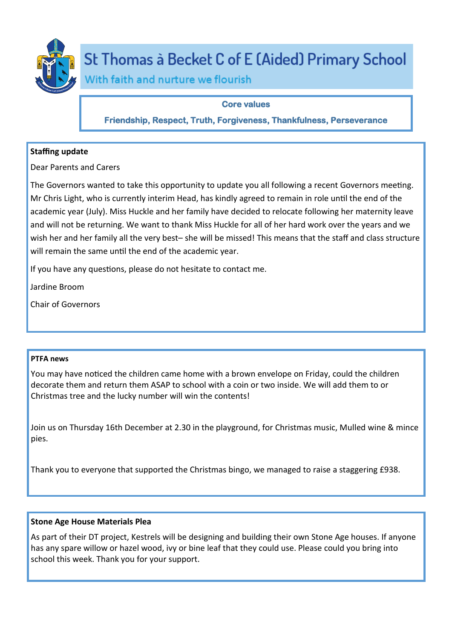

# St Thomas à Becket C of E (Aided) Primary School

With faith and nurture we flourish

# **Core values**

**Friendship, Respect, Truth, Forgiveness, Thankfulness, Perseverance** 

# **Staffing update**

Dear Parents and Carers

The Governors wanted to take this opportunity to update you all following a recent Governors meeting. Mr Chris Light, who is currently interim Head, has kindly agreed to remain in role until the end of the academic year (July). Miss Huckle and her family have decided to relocate following her maternity leave and will not be returning. We want to thank Miss Huckle for all of her hard work over the years and we wish her and her family all the very best– she will be missed! This means that the staff and class structure will remain the same until the end of the academic year.

If you have any questions, please do not hesitate to contact me.

Jardine Broom

Chair of Governors

## **PTFA news**

You may have noticed the children came home with a brown envelope on Friday, could the children decorate them and return them ASAP to school with a coin or two inside. We will add them to or Christmas tree and the lucky number will win the contents!

Join us on Thursday 16th December at 2.30 in the playground, for Christmas music, Mulled wine & mince pies.

Thank you to everyone that supported the Christmas bingo, we managed to raise a staggering £938.

# **Stone Age House Materials Plea**

As part of their DT project, Kestrels will be designing and building their own Stone Age houses. If anyone has any spare willow or hazel wood, ivy or bine leaf that they could use. Please could you bring into school this week. Thank you for your support.